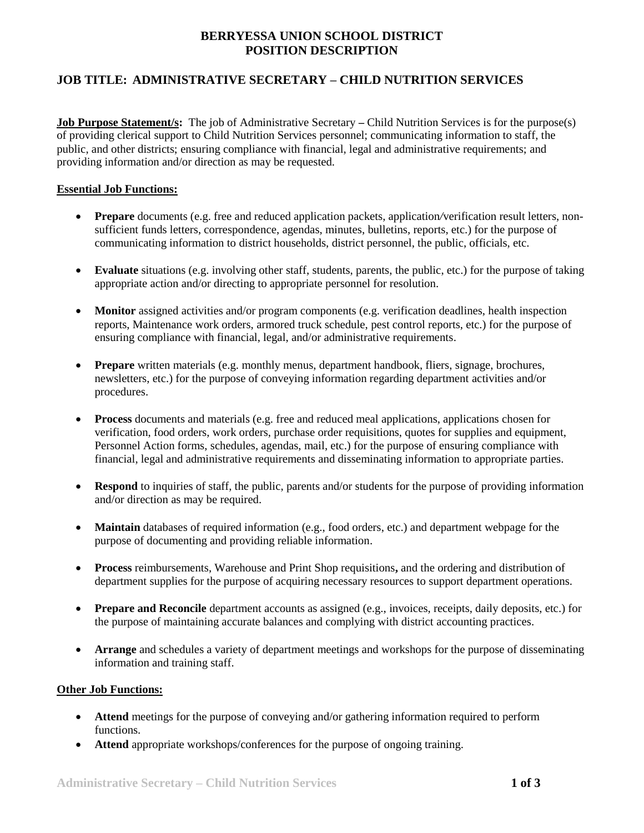# **BERRYESSA UNION SCHOOL DISTRICT POSITION DESCRIPTION**

## **JOB TITLE: ADMINISTRATIVE SECRETARY – CHILD NUTRITION SERVICES**

**Job Purpose Statement/s:** The job of Administrative Secretary – Child Nutrition Services is for the purpose(s) of providing clerical support to Child Nutrition Services personnel; communicating information to staff, the public, and other districts; ensuring compliance with financial, legal and administrative requirements; and providing information and/or direction as may be requested.

#### **Essential Job Functions:**

- **Prepare** documents (e.g. free and reduced application packets, application*/*verification result letters, nonsufficient funds letters, correspondence, agendas, minutes, bulletins, reports, etc.) for the purpose of communicating information to district households, district personnel, the public, officials, etc.
- **Evaluate** situations (e.g. involving other staff, students, parents, the public, etc.) for the purpose of taking appropriate action and/or directing to appropriate personnel for resolution.
- **Monitor** assigned activities and/or program components (e.g. verification deadlines, health inspection reports, Maintenance work orders, armored truck schedule, pest control reports, etc.) for the purpose of ensuring compliance with financial, legal, and/or administrative requirements.
- **Prepare** written materials (e.g. monthly menus, department handbook, fliers, signage, brochures, newsletters, etc.) for the purpose of conveying information regarding department activities and/or procedures.
- **Process** documents and materials (e.g. free and reduced meal applications, applications chosen for verification, food orders, work orders, purchase order requisitions, quotes for supplies and equipment, Personnel Action forms, schedules, agendas, mail, etc.) for the purpose of ensuring compliance with financial, legal and administrative requirements and disseminating information to appropriate parties.
- **Respond** to inquiries of staff, the public, parents and/or students for the purpose of providing information and/or direction as may be required.
- **Maintain** databases of required information (e.g., food orders, etc.) and department webpage for the purpose of documenting and providing reliable information.
- **Process** reimbursements, Warehouse and Print Shop requisitions**,** and the ordering and distribution of department supplies for the purpose of acquiring necessary resources to support department operations.
- **Prepare and Reconcile** department accounts as assigned (e.g., invoices, receipts, daily deposits, etc.) for the purpose of maintaining accurate balances and complying with district accounting practices.
- **Arrange** and schedules a variety of department meetings and workshops for the purpose of disseminating information and training staff.

#### **Other Job Functions:**

- **Attend** meetings for the purpose of conveying and/or gathering information required to perform functions.
- **Attend** appropriate workshops/conferences for the purpose of ongoing training.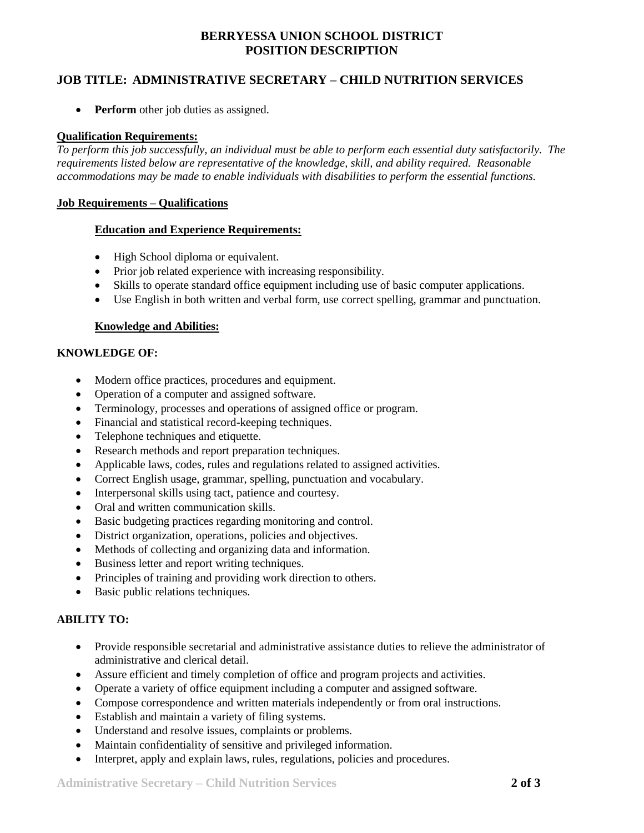# **BERRYESSA UNION SCHOOL DISTRICT POSITION DESCRIPTION**

### **JOB TITLE: ADMINISTRATIVE SECRETARY – CHILD NUTRITION SERVICES**

**• Perform** other job duties as assigned.

#### **Qualification Requirements:**

*To perform this job successfully, an individual must be able to perform each essential duty satisfactorily. The requirements listed below are representative of the knowledge, skill, and ability required. Reasonable accommodations may be made to enable individuals with disabilities to perform the essential functions.*

#### **Job Requirements – Qualifications**

### **Education and Experience Requirements:**

- High School diploma or equivalent.
- Prior job related experience with increasing responsibility.
- Skills to operate standard office equipment including use of basic computer applications.
- Use English in both written and verbal form, use correct spelling, grammar and punctuation.

### **Knowledge and Abilities:**

### **KNOWLEDGE OF:**

- Modern office practices, procedures and equipment.
- Operation of a computer and assigned software.
- Terminology, processes and operations of assigned office or program.
- Financial and statistical record-keeping techniques.
- Telephone techniques and etiquette.
- Research methods and report preparation techniques.
- Applicable laws, codes, rules and regulations related to assigned activities.
- Correct English usage, grammar, spelling, punctuation and vocabulary.
- Interpersonal skills using tact, patience and courtesy.
- Oral and written communication skills.
- Basic budgeting practices regarding monitoring and control.
- District organization, operations, policies and objectives.
- Methods of collecting and organizing data and information.
- Business letter and report writing techniques.
- Principles of training and providing work direction to others.
- Basic public relations techniques.

### **ABILITY TO:**

- Provide responsible secretarial and administrative assistance duties to relieve the administrator of administrative and clerical detail.
- Assure efficient and timely completion of office and program projects and activities.
- Operate a variety of office equipment including a computer and assigned software.
- Compose correspondence and written materials independently or from oral instructions.
- Establish and maintain a variety of filing systems.
- Understand and resolve issues, complaints or problems.
- Maintain confidentiality of sensitive and privileged information.
- Interpret, apply and explain laws, rules, regulations, policies and procedures.